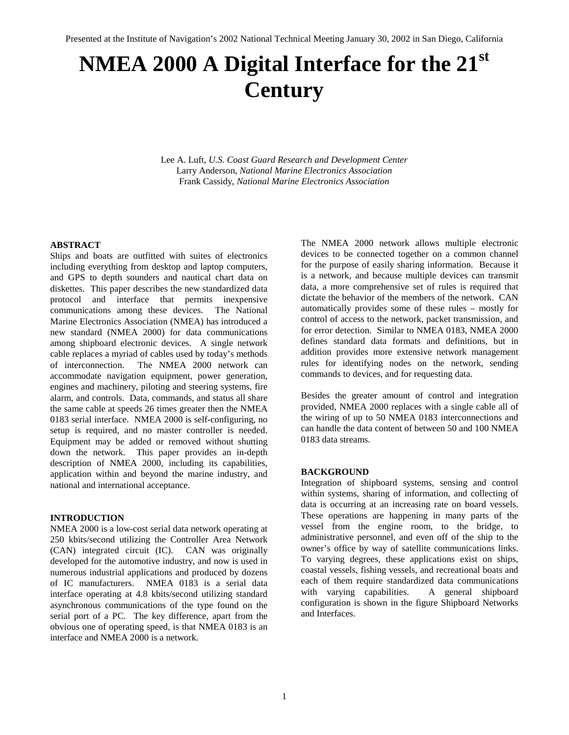# **NMEA 2000 A Digital Interface for the 21st Century**

Lee A. Luft, *U.S. Coast Guard Research and Development Center* Larry Anderson, *National Marine Electronics Association* Frank Cassidy, *National Marine Electronics Association*

#### **ABSTRACT**

Ships and boats are outfitted with suites of electronics including everything from desktop and laptop computers, and GPS to depth sounders and nautical chart data on diskettes. This paper describes the new standardized data protocol and interface that permits inexpensive communications among these devices. The National Marine Electronics Association (NMEA) has introduced a new standard (NMEA 2000) for data communications among shipboard electronic devices. A single network cable replaces a myriad of cables used by today's methods of interconnection. The NMEA 2000 network can accommodate navigation equipment, power generation, engines and machinery, piloting and steering systems, fire alarm, and controls. Data, commands, and status all share the same cable at speeds 26 times greater then the NMEA 0183 serial interface. NMEA 2000 is self-configuring, no setup is required, and no master controller is needed. Equipment may be added or removed without shutting down the network. This paper provides an in-depth description of NMEA 2000, including its capabilities, application within and beyond the marine industry, and national and international acceptance.

#### **INTRODUCTION**

NMEA 2000 is a low-cost serial data network operating at 250 kbits/second utilizing the Controller Area Network (CAN) integrated circuit (IC). CAN was originally developed for the automotive industry, and now is used in numerous industrial applications and produced by dozens of IC manufacturers. NMEA 0183 is a serial data interface operating at 4.8 kbits/second utilizing standard asynchronous communications of the type found on the serial port of a PC. The key difference, apart from the obvious one of operating speed, is that NMEA 0183 is an interface and NMEA 2000 is a network.

The NMEA 2000 network allows multiple electronic devices to be connected together on a common channel for the purpose of easily sharing information. Because it is a network, and because multiple devices can transmit data, a more comprehensive set of rules is required that dictate the behavior of the members of the network. CAN automatically provides some of these rules – mostly for control of access to the network, packet transmission, and for error detection. Similar to NMEA 0183, NMEA 2000 defines standard data formats and definitions, but in addition provides more extensive network management rules for identifying nodes on the network, sending commands to devices, and for requesting data.

Besides the greater amount of control and integration provided, NMEA 2000 replaces with a single cable all of the wiring of up to 50 NMEA 0183 interconnections and can handle the data content of between 50 and 100 NMEA 0183 data streams.

#### **BACKGROUND**

Integration of shipboard systems, sensing and control within systems, sharing of information, and collecting of data is occurring at an increasing rate on board vessels. These operations are happening in many parts of the vessel from the engine room, to the bridge, to administrative personnel, and even off of the ship to the owner's office by way of satellite communications links. To varying degrees, these applications exist on ships, coastal vessels, fishing vessels, and recreational boats and each of them require standardized data communications with varying capabilities. A general shipboard configuration is shown in the figure Shipboard Networks and Interfaces.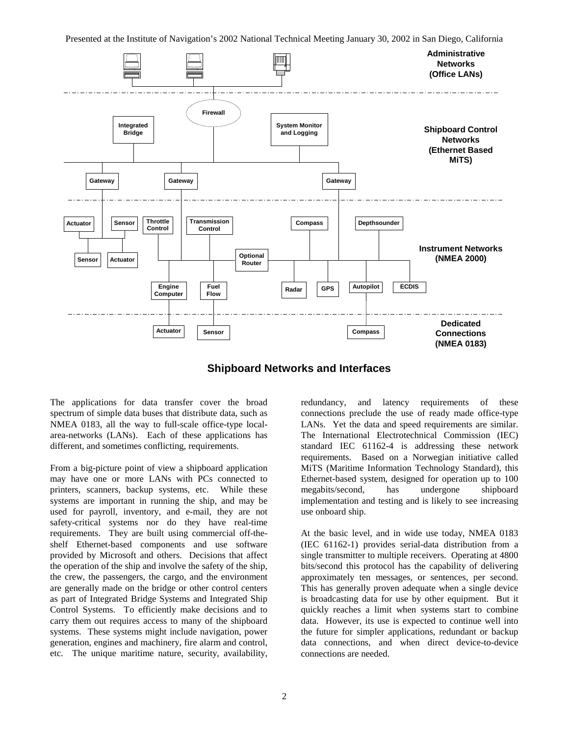

# **Shipboard Networks and Interfaces**

The applications for data transfer cover the broad spectrum of simple data buses that distribute data, such as NMEA 0183, all the way to full-scale office-type localarea-networks (LANs). Each of these applications has different, and sometimes conflicting, requirements.

From a big-picture point of view a shipboard application may have one or more LANs with PCs connected to printers, scanners, backup systems, etc. While these systems are important in running the ship, and may be used for payroll, inventory, and e-mail, they are not safety-critical systems nor do they have real-time requirements. They are built using commercial off-theshelf Ethernet-based components and use software provided by Microsoft and others. Decisions that affect the operation of the ship and involve the safety of the ship, the crew, the passengers, the cargo, and the environment are generally made on the bridge or other control centers as part of Integrated Bridge Systems and Integrated Ship Control Systems. To efficiently make decisions and to carry them out requires access to many of the shipboard systems. These systems might include navigation, power generation, engines and machinery, fire alarm and control, etc. The unique maritime nature, security, availability,

redundancy, and latency requirements of these connections preclude the use of ready made office-type LANs. Yet the data and speed requirements are similar. The International Electrotechnical Commission (IEC) standard IEC 61162-4 is addressing these network requirements. Based on a Norwegian initiative called MiTS (Maritime Information Technology Standard), this Ethernet-based system, designed for operation up to 100 megabits/second, has undergone shipboard implementation and testing and is likely to see increasing use onboard ship.

At the basic level, and in wide use today, NMEA 0183 (IEC 61162-1) provides serial-data distribution from a single transmitter to multiple receivers. Operating at 4800 bits/second this protocol has the capability of delivering approximately ten messages, or sentences, per second. This has generally proven adequate when a single device is broadcasting data for use by other equipment. But it quickly reaches a limit when systems start to combine data. However, its use is expected to continue well into the future for simpler applications, redundant or backup data connections, and when direct device-to-device connections are needed.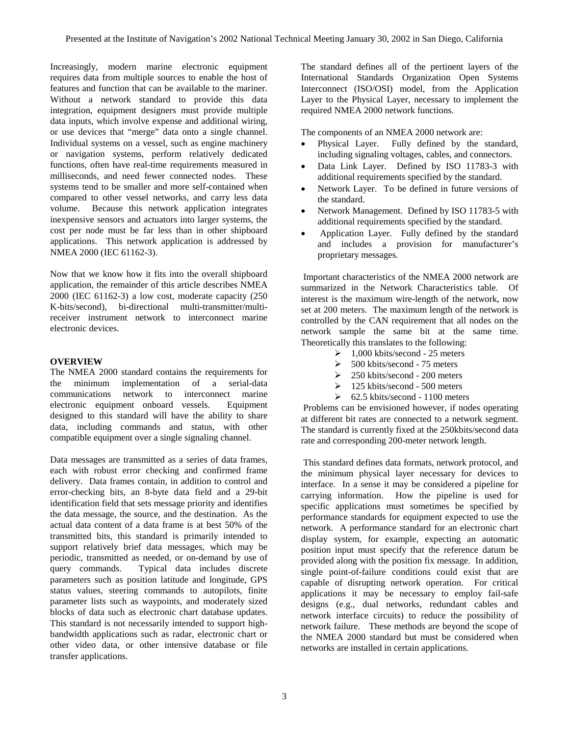Increasingly, modern marine electronic equipment requires data from multiple sources to enable the host of features and function that can be available to the mariner. Without a network standard to provide this data integration, equipment designers must provide multiple data inputs, which involve expense and additional wiring, or use devices that "merge" data onto a single channel. Individual systems on a vessel, such as engine machinery or navigation systems, perform relatively dedicated functions, often have real-time requirements measured in milliseconds, and need fewer connected nodes. These systems tend to be smaller and more self-contained when compared to other vessel networks, and carry less data volume. Because this network application integrates inexpensive sensors and actuators into larger systems, the cost per node must be far less than in other shipboard applications. This network application is addressed by NMEA 2000 (IEC 61162-3).

Now that we know how it fits into the overall shipboard application, the remainder of this article describes NMEA 2000 (IEC 61162-3) a low cost, moderate capacity (250 K-bits/second), bi-directional multi-transmitter/multireceiver instrument network to interconnect marine electronic devices.

# **OVERVIEW**

The NMEA 2000 standard contains the requirements for the minimum implementation of a serial-data communications network to interconnect marine electronic equipment onboard vessels. Equipment designed to this standard will have the ability to share data, including commands and status, with other compatible equipment over a single signaling channel.

Data messages are transmitted as a series of data frames, each with robust error checking and confirmed frame delivery. Data frames contain, in addition to control and error-checking bits, an 8-byte data field and a 29-bit identification field that sets message priority and identifies the data message, the source, and the destination. As the actual data content of a data frame is at best 50% of the transmitted bits, this standard is primarily intended to support relatively brief data messages, which may be periodic, transmitted as needed, or on-demand by use of query commands. Typical data includes discrete parameters such as position latitude and longitude, GPS status values, steering commands to autopilots, finite parameter lists such as waypoints, and moderately sized blocks of data such as electronic chart database updates. This standard is not necessarily intended to support highbandwidth applications such as radar, electronic chart or other video data, or other intensive database or file transfer applications.

The standard defines all of the pertinent layers of the International Standards Organization Open Systems Interconnect (ISO/OSI) model, from the Application Layer to the Physical Layer, necessary to implement the required NMEA 2000 network functions.

The components of an NMEA 2000 network are:

- Physical Layer. Fully defined by the standard, including signaling voltages, cables, and connectors.
- Data Link Layer. Defined by ISO 11783-3 with additional requirements specified by the standard.
- Network Layer. To be defined in future versions of the standard.
- Network Management. Defined by ISO 11783-5 with additional requirements specified by the standard.
- Application Layer. Fully defined by the standard and includes a provision for manufacturer's proprietary messages.

Important characteristics of the NMEA 2000 network are summarized in the Network Characteristics table. Of interest is the maximum wire-length of the network, now set at 200 meters. The maximum length of the network is controlled by the CAN requirement that all nodes on the network sample the same bit at the same time. Theoretically this translates to the following:

- $\geq 1,000$  kbits/second 25 meters
- $>$  500 kbits/second 75 meters
- $\geq$  250 kbits/second 200 meters
- $\geq 125$  kbits/second 500 meters
- $\geq 62.5$  kbits/second 1100 meters

Problems can be envisioned however, if nodes operating at different bit rates are connected to a network segment. The standard is currently fixed at the 250kbits/second data rate and corresponding 200-meter network length.

This standard defines data formats, network protocol, and the minimum physical layer necessary for devices to interface. In a sense it may be considered a pipeline for carrying information. How the pipeline is used for specific applications must sometimes be specified by performance standards for equipment expected to use the network. A performance standard for an electronic chart display system, for example, expecting an automatic position input must specify that the reference datum be provided along with the position fix message. In addition, single point-of-failure conditions could exist that are capable of disrupting network operation. For critical applications it may be necessary to employ fail-safe designs (e.g., dual networks, redundant cables and network interface circuits) to reduce the possibility of network failure. These methods are beyond the scope of the NMEA 2000 standard but must be considered when networks are installed in certain applications.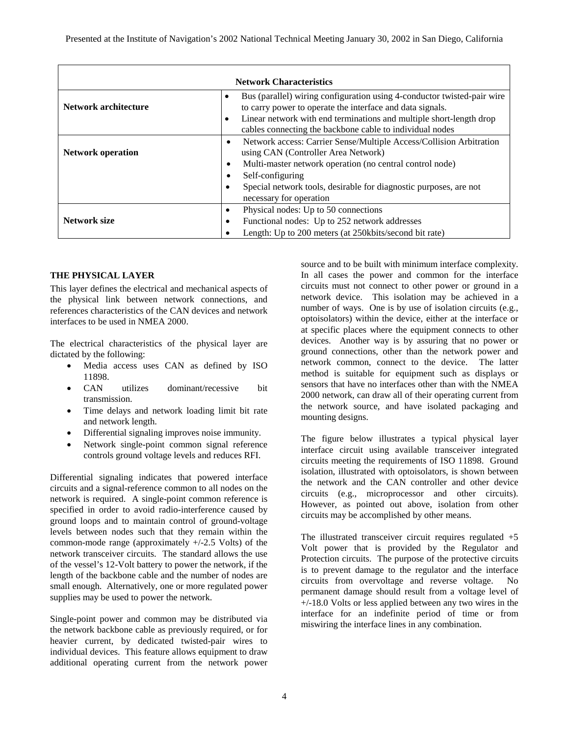| <b>Network Characteristics</b> |                                                                                                                                                                                                                                                                                                      |  |  |  |
|--------------------------------|------------------------------------------------------------------------------------------------------------------------------------------------------------------------------------------------------------------------------------------------------------------------------------------------------|--|--|--|
| Network architecture           | Bus (parallel) wiring configuration using 4-conductor twisted-pair wire<br>$\bullet$<br>to carry power to operate the interface and data signals.<br>Linear network with end terminations and multiple short-length drop<br>$\bullet$<br>cables connecting the backbone cable to individual nodes    |  |  |  |
| <b>Network operation</b>       | Network access: Carrier Sense/Multiple Access/Collision Arbitration<br>٠<br>using CAN (Controller Area Network)<br>Multi-master network operation (no central control node)<br>٠<br>Self-configuring<br>Special network tools, desirable for diagnostic purposes, are not<br>necessary for operation |  |  |  |
| Network size                   | Physical nodes: Up to 50 connections<br>Functional nodes: Up to 252 network addresses<br>Length: Up to 200 meters (at 250kbits/second bit rate)                                                                                                                                                      |  |  |  |

# **THE PHYSICAL LAYER**

This layer defines the electrical and mechanical aspects of the physical link between network connections, and references characteristics of the CAN devices and network interfaces to be used in NMEA 2000.

The electrical characteristics of the physical layer are dictated by the following:

- Media access uses CAN as defined by ISO 11898.
- CAN utilizes dominant/recessive bit transmission.
- Time delays and network loading limit bit rate and network length.
- Differential signaling improves noise immunity.
- Network single-point common signal reference controls ground voltage levels and reduces RFI.

Differential signaling indicates that powered interface circuits and a signal-reference common to all nodes on the network is required. A single-point common reference is specified in order to avoid radio-interference caused by ground loops and to maintain control of ground-voltage levels between nodes such that they remain within the common-mode range (approximately  $+/-2.5$  Volts) of the network transceiver circuits. The standard allows the use of the vessel's 12-Volt battery to power the network, if the length of the backbone cable and the number of nodes are small enough. Alternatively, one or more regulated power supplies may be used to power the network.

Single-point power and common may be distributed via the network backbone cable as previously required, or for heavier current, by dedicated twisted-pair wires to individual devices. This feature allows equipment to draw additional operating current from the network power

source and to be built with minimum interface complexity. In all cases the power and common for the interface circuits must not connect to other power or ground in a network device. This isolation may be achieved in a number of ways. One is by use of isolation circuits (e.g., optoisolators) within the device, either at the interface or at specific places where the equipment connects to other devices. Another way is by assuring that no power or ground connections, other than the network power and network common, connect to the device. The latter method is suitable for equipment such as displays or sensors that have no interfaces other than with the NMEA 2000 network, can draw all of their operating current from the network source, and have isolated packaging and mounting designs.

The figure below illustrates a typical physical layer interface circuit using available transceiver integrated circuits meeting the requirements of ISO 11898. Ground isolation, illustrated with optoisolators, is shown between the network and the CAN controller and other device circuits (e.g., microprocessor and other circuits). However, as pointed out above, isolation from other circuits may be accomplished by other means.

The illustrated transceiver circuit requires regulated  $+5$ Volt power that is provided by the Regulator and Protection circuits. The purpose of the protective circuits is to prevent damage to the regulator and the interface circuits from overvoltage and reverse voltage. permanent damage should result from a voltage level of +/-18.0 Volts or less applied between any two wires in the interface for an indefinite period of time or from miswiring the interface lines in any combination.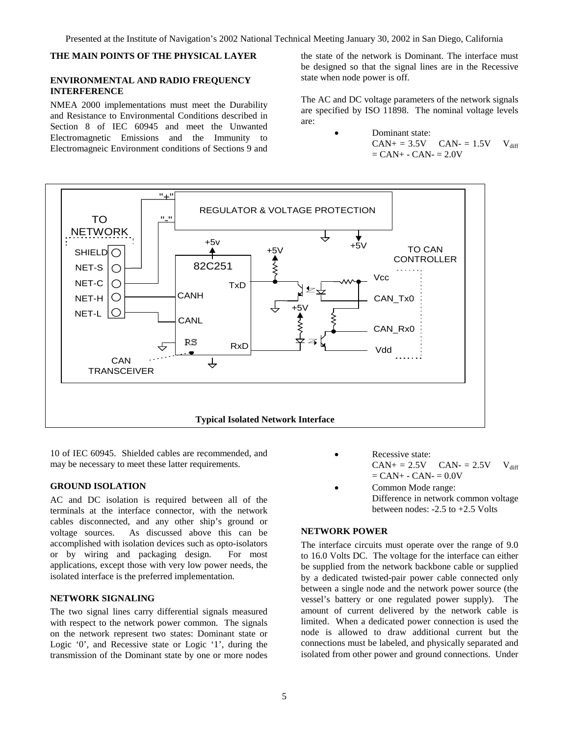# **THE MAIN POINTS OF THE PHYSICAL LAYER**

#### **ENVIRONMENTAL AND RADIO FREQUENCY INTERFERENCE**

NMEA 2000 implementations must meet the Durability and Resistance to Environmental Conditions described in Section 8 of IEC 60945 and meet the Unwanted Electromagnetic Emissions and the Immunity to Electromagneic Environment conditions of Sections 9 and

the state of the network is Dominant. The interface must be designed so that the signal lines are in the Recessive state when node power is off.

The AC and DC voltage parameters of the network signals are specified by ISO 11898. The nominal voltage levels are:

> Dominant state:  $CAN+ = 3.5V$   $CAN- = 1.5V$   $V_{diff}$  $=$  CAN+  $-$  CAN $-$  = 2.0V



10 of IEC 60945. Shielded cables are recommended, and may be necessary to meet these latter requirements.

#### **GROUND ISOLATION**

AC and DC isolation is required between all of the terminals at the interface connector, with the network cables disconnected, and any other ship's ground or voltage sources. As discussed above this can be accomplished with isolation devices such as opto-isolators or by wiring and packaging design. For most applications, except those with very low power needs, the isolated interface is the preferred implementation.

#### **NETWORK SIGNALING**

The two signal lines carry differential signals measured with respect to the network power common. The signals on the network represent two states: Dominant state or Logic '0', and Recessive state or Logic '1', during the transmission of the Dominant state by one or more nodes

- Recessive state:  $CAN + = 2.5V$   $CAN - = 2.5V$   $V_{diff}$  $=$  CAN+  $-$  CAN $-$  = 0.0V
- Common Mode range: Difference in network common voltage between nodes: -2.5 to +2.5 Volts

## **NETWORK POWER**

The interface circuits must operate over the range of 9.0 to 16.0 Volts DC. The voltage for the interface can either be supplied from the network backbone cable or supplied by a dedicated twisted-pair power cable connected only between a single node and the network power source (the vessel's battery or one regulated power supply). The amount of current delivered by the network cable is limited. When a dedicated power connection is used the node is allowed to draw additional current but the connections must be labeled, and physically separated and isolated from other power and ground connections. Under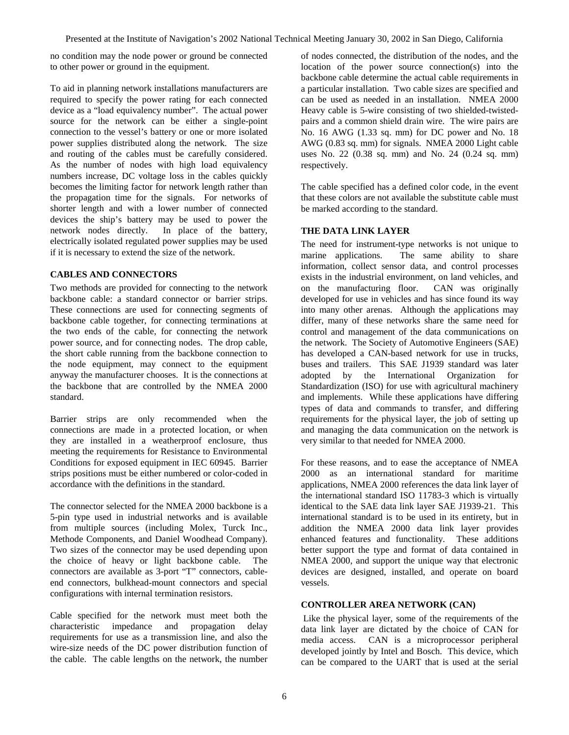no condition may the node power or ground be connected to other power or ground in the equipment.

To aid in planning network installations manufacturers are required to specify the power rating for each connected device as a "load equivalency number". The actual power source for the network can be either a single-point connection to the vessel's battery or one or more isolated power supplies distributed along the network. The size and routing of the cables must be carefully considered. As the number of nodes with high load equivalency numbers increase, DC voltage loss in the cables quickly becomes the limiting factor for network length rather than the propagation time for the signals. For networks of shorter length and with a lower number of connected devices the ship's battery may be used to power the network nodes directly. In place of the battery, electrically isolated regulated power supplies may be used if it is necessary to extend the size of the network.

## **CABLES AND CONNECTORS**

Two methods are provided for connecting to the network backbone cable: a standard connector or barrier strips. These connections are used for connecting segments of backbone cable together, for connecting terminations at the two ends of the cable, for connecting the network power source, and for connecting nodes. The drop cable, the short cable running from the backbone connection to the node equipment, may connect to the equipment anyway the manufacturer chooses. It is the connections at the backbone that are controlled by the NMEA 2000 standard.

Barrier strips are only recommended when the connections are made in a protected location, or when they are installed in a weatherproof enclosure, thus meeting the requirements for Resistance to Environmental Conditions for exposed equipment in IEC 60945. Barrier strips positions must be either numbered or color-coded in accordance with the definitions in the standard.

The connector selected for the NMEA 2000 backbone is a 5-pin type used in industrial networks and is available from multiple sources (including Molex, Turck Inc., Methode Components, and Daniel Woodhead Company). Two sizes of the connector may be used depending upon the choice of heavy or light backbone cable. The connectors are available as 3-port "T" connectors, cableend connectors, bulkhead-mount connectors and special configurations with internal termination resistors.

Cable specified for the network must meet both the characteristic impedance and propagation delay requirements for use as a transmission line, and also the wire-size needs of the DC power distribution function of the cable. The cable lengths on the network, the number

of nodes connected, the distribution of the nodes, and the location of the power source connection(s) into the backbone cable determine the actual cable requirements in a particular installation. Two cable sizes are specified and can be used as needed in an installation. NMEA 2000 Heavy cable is 5-wire consisting of two shielded-twistedpairs and a common shield drain wire. The wire pairs are No. 16 AWG (1.33 sq. mm) for DC power and No. 18 AWG (0.83 sq. mm) for signals. NMEA 2000 Light cable uses No. 22 (0.38 sq. mm) and No. 24 (0.24 sq. mm) respectively.

The cable specified has a defined color code, in the event that these colors are not available the substitute cable must be marked according to the standard.

# **THE DATA LINK LAYER**

The need for instrument-type networks is not unique to marine applications. The same ability to share information, collect sensor data, and control processes exists in the industrial environment, on land vehicles, and on the manufacturing floor. CAN was originally developed for use in vehicles and has since found its way into many other arenas. Although the applications may differ, many of these networks share the same need for control and management of the data communications on the network. The Society of Automotive Engineers (SAE) has developed a CAN-based network for use in trucks, buses and trailers. This SAE J1939 standard was later adopted by the International Organization for Standardization (ISO) for use with agricultural machinery and implements. While these applications have differing types of data and commands to transfer, and differing requirements for the physical layer, the job of setting up and managing the data communication on the network is very similar to that needed for NMEA 2000.

For these reasons, and to ease the acceptance of NMEA 2000 as an international standard for maritime applications, NMEA 2000 references the data link layer of the international standard ISO 11783-3 which is virtually identical to the SAE data link layer SAE J1939-21. This international standard is to be used in its entirety, but in addition the NMEA 2000 data link layer provides enhanced features and functionality. These additions better support the type and format of data contained in NMEA 2000, and support the unique way that electronic devices are designed, installed, and operate on board vessels.

## **CONTROLLER AREA NETWORK (CAN)**

Like the physical layer, some of the requirements of the data link layer are dictated by the choice of CAN for media access. CAN is a microprocessor peripheral developed jointly by Intel and Bosch. This device, which can be compared to the UART that is used at the serial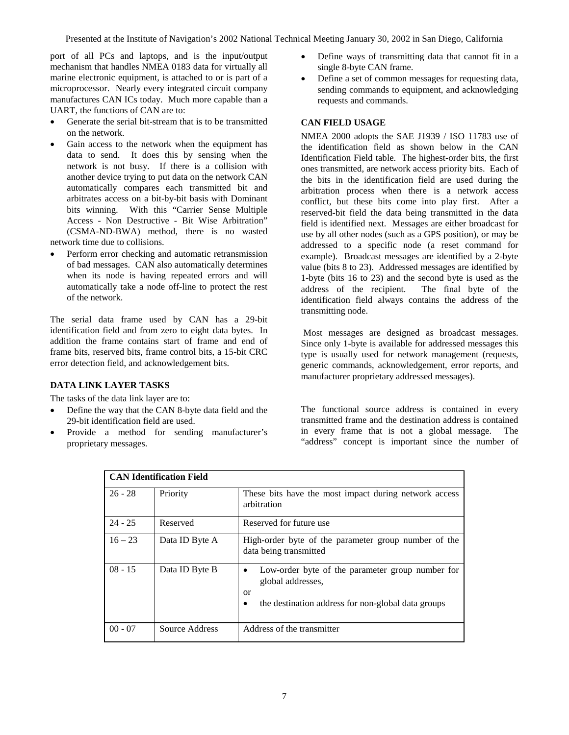port of all PCs and laptops, and is the input/output mechanism that handles NMEA 0183 data for virtually all marine electronic equipment, is attached to or is part of a microprocessor. Nearly every integrated circuit company manufactures CAN ICs today. Much more capable than a UART, the functions of CAN are to:

- Generate the serial bit-stream that is to be transmitted on the network.
- Gain access to the network when the equipment has data to send. It does this by sensing when the network is not busy. If there is a collision with another device trying to put data on the network CAN automatically compares each transmitted bit and arbitrates access on a bit-by-bit basis with Dominant bits winning. With this "Carrier Sense Multiple Access - Non Destructive - Bit Wise Arbitration" (CSMA-ND-BWA) method, there is no wasted network time due to collisions.
- Perform error checking and automatic retransmission of bad messages. CAN also automatically determines when its node is having repeated errors and will automatically take a node off-line to protect the rest of the network.

The serial data frame used by CAN has a 29-bit identification field and from zero to eight data bytes. In addition the frame contains start of frame and end of frame bits, reserved bits, frame control bits, a 15-bit CRC error detection field, and acknowledgement bits.

## **DATA LINK LAYER TASKS**

The tasks of the data link layer are to:

- Define the way that the CAN 8-byte data field and the 29-bit identification field are used.
- Provide a method for sending manufacturer's proprietary messages.
- Define ways of transmitting data that cannot fit in a single 8-byte CAN frame.
- Define a set of common messages for requesting data, sending commands to equipment, and acknowledging requests and commands.

## **CAN FIELD USAGE**

NMEA 2000 adopts the SAE J1939 / ISO 11783 use of the identification field as shown below in the CAN Identification Field table. The highest-order bits, the first ones transmitted, are network access priority bits. Each of the bits in the identification field are used during the arbitration process when there is a network access conflict, but these bits come into play first. After a reserved-bit field the data being transmitted in the data field is identified next. Messages are either broadcast for use by all other nodes (such as a GPS position), or may be addressed to a specific node (a reset command for example). Broadcast messages are identified by a 2-byte value (bits 8 to 23). Addressed messages are identified by 1-byte (bits 16 to 23) and the second byte is used as the address of the recipient. The final byte of the identification field always contains the address of the transmitting node.

Most messages are designed as broadcast messages. Since only 1-byte is available for addressed messages this type is usually used for network management (requests, generic commands, acknowledgement, error reports, and manufacturer proprietary addressed messages).

The functional source address is contained in every transmitted frame and the destination address is contained in every frame that is not a global message. The "address" concept is important since the number of

| <b>CAN Identification Field</b> |                |                                                                                                                                                |  |  |
|---------------------------------|----------------|------------------------------------------------------------------------------------------------------------------------------------------------|--|--|
| $26 - 28$                       | Priority       | These bits have the most impact during network access<br>arbitration                                                                           |  |  |
| $24 - 25$                       | Reserved       | Reserved for future use                                                                                                                        |  |  |
| $16 - 23$                       | Data ID Byte A | High-order byte of the parameter group number of the<br>data being transmitted                                                                 |  |  |
| $08 - 15$                       | Data ID Byte B | Low-order byte of the parameter group number for<br>$\bullet$<br>global addresses.<br>or<br>the destination address for non-global data groups |  |  |
| $00 - 07$                       | Source Address | Address of the transmitter                                                                                                                     |  |  |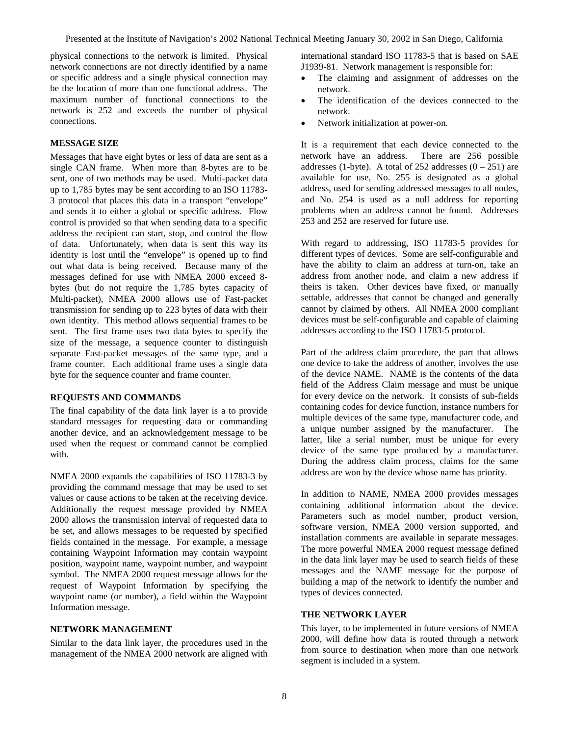physical connections to the network is limited. Physical network connections are not directly identified by a name or specific address and a single physical connection may be the location of more than one functional address. The maximum number of functional connections to the network is 252 and exceeds the number of physical connections.

## **MESSAGE SIZE**

Messages that have eight bytes or less of data are sent as a single CAN frame. When more than 8-bytes are to be sent, one of two methods may be used. Multi-packet data up to 1,785 bytes may be sent according to an ISO 11783- 3 protocol that places this data in a transport "envelope" and sends it to either a global or specific address. Flow control is provided so that when sending data to a specific address the recipient can start, stop, and control the flow of data. Unfortunately, when data is sent this way its identity is lost until the "envelope" is opened up to find out what data is being received. Because many of the messages defined for use with NMEA 2000 exceed 8 bytes (but do not require the 1,785 bytes capacity of Multi-packet), NMEA 2000 allows use of Fast-packet transmission for sending up to 223 bytes of data with their own identity. This method allows sequential frames to be sent. The first frame uses two data bytes to specify the size of the message, a sequence counter to distinguish separate Fast-packet messages of the same type, and a frame counter. Each additional frame uses a single data byte for the sequence counter and frame counter.

## **REQUESTS AND COMMANDS**

The final capability of the data link layer is a to provide standard messages for requesting data or commanding another device, and an acknowledgement message to be used when the request or command cannot be complied with.

NMEA 2000 expands the capabilities of ISO 11783-3 by providing the command message that may be used to set values or cause actions to be taken at the receiving device. Additionally the request message provided by NMEA 2000 allows the transmission interval of requested data to be set, and allows messages to be requested by specified fields contained in the message. For example, a message containing Waypoint Information may contain waypoint position, waypoint name, waypoint number, and waypoint symbol. The NMEA 2000 request message allows for the request of Waypoint Information by specifying the waypoint name (or number), a field within the Waypoint Information message.

## **NETWORK MANAGEMENT**

Similar to the data link layer, the procedures used in the management of the NMEA 2000 network are aligned with

international standard ISO 11783-5 that is based on SAE J1939-81. Network management is responsible for:

- The claiming and assignment of addresses on the network.
- The identification of the devices connected to the network.
- Network initialization at power-on.

It is a requirement that each device connected to the network have an address. There are 256 possible addresses (1-byte). A total of 252 addresses  $(0 - 251)$  are available for use, No. 255 is designated as a global address, used for sending addressed messages to all nodes, and No. 254 is used as a null address for reporting problems when an address cannot be found. Addresses 253 and 252 are reserved for future use.

With regard to addressing, ISO 11783-5 provides for different types of devices. Some are self-configurable and have the ability to claim an address at turn-on, take an address from another node, and claim a new address if theirs is taken. Other devices have fixed, or manually settable, addresses that cannot be changed and generally cannot by claimed by others. All NMEA 2000 compliant devices must be self-configurable and capable of claiming addresses according to the ISO 11783-5 protocol.

Part of the address claim procedure, the part that allows one device to take the address of another, involves the use of the device NAME. NAME is the contents of the data field of the Address Claim message and must be unique for every device on the network. It consists of sub-fields containing codes for device function, instance numbers for multiple devices of the same type, manufacturer code, and a unique number assigned by the manufacturer. The latter, like a serial number, must be unique for every device of the same type produced by a manufacturer. During the address claim process, claims for the same address are won by the device whose name has priority.

In addition to NAME, NMEA 2000 provides messages containing additional information about the device. Parameters such as model number, product version, software version, NMEA 2000 version supported, and installation comments are available in separate messages. The more powerful NMEA 2000 request message defined in the data link layer may be used to search fields of these messages and the NAME message for the purpose of building a map of the network to identify the number and types of devices connected.

# **THE NETWORK LAYER**

This layer, to be implemented in future versions of NMEA 2000, will define how data is routed through a network from source to destination when more than one network segment is included in a system.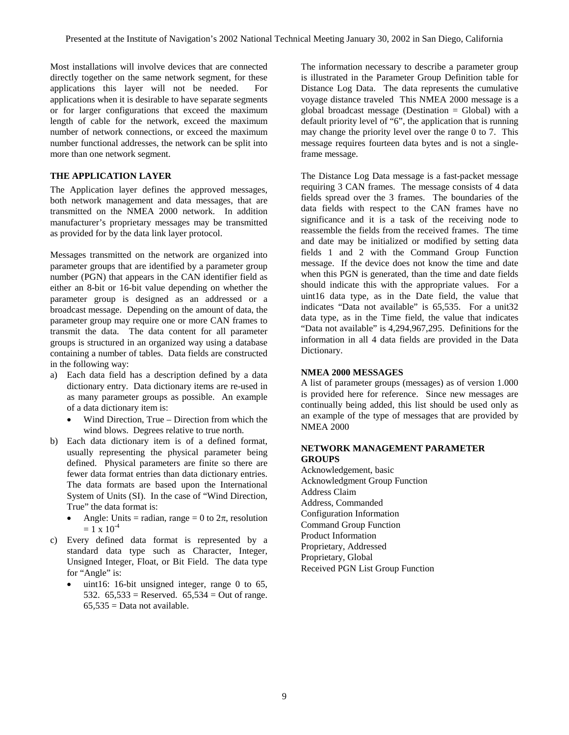Most installations will involve devices that are connected directly together on the same network segment, for these applications this layer will not be needed. For applications when it is desirable to have separate segments or for larger configurations that exceed the maximum length of cable for the network, exceed the maximum number of network connections, or exceed the maximum number functional addresses, the network can be split into more than one network segment.

# **THE APPLICATION LAYER**

The Application layer defines the approved messages, both network management and data messages, that are transmitted on the NMEA 2000 network. In addition manufacturer's proprietary messages may be transmitted as provided for by the data link layer protocol.

Messages transmitted on the network are organized into parameter groups that are identified by a parameter group number (PGN) that appears in the CAN identifier field as either an 8-bit or 16-bit value depending on whether the parameter group is designed as an addressed or a broadcast message. Depending on the amount of data, the parameter group may require one or more CAN frames to transmit the data. The data content for all parameter groups is structured in an organized way using a database containing a number of tables. Data fields are constructed in the following way:

- a) Each data field has a description defined by a data dictionary entry. Data dictionary items are re-used in as many parameter groups as possible. An example of a data dictionary item is:
	- Wind Direction, True Direction from which the wind blows. Degrees relative to true north.
- b) Each data dictionary item is of a defined format, usually representing the physical parameter being defined. Physical parameters are finite so there are fewer data format entries than data dictionary entries. The data formats are based upon the International System of Units (SI). In the case of "Wind Direction, True" the data format is:
	- Angle: Units = radian, range = 0 to  $2\pi$ , resolution  $= 1 \times 10^{-4}$
- c) Every defined data format is represented by a standard data type such as Character, Integer, Unsigned Integer, Float, or Bit Field. The data type for "Angle" is:
	- uint16: 16-bit unsigned integer, range 0 to 65, 532.  $65,533 =$  Reserved.  $65,534 =$  Out of range.  $65.535$  = Data not available.

The information necessary to describe a parameter group is illustrated in the Parameter Group Definition table for Distance Log Data. The data represents the cumulative voyage distance traveled This NMEA 2000 message is a global broadcast message (Destination = Global) with a default priority level of "6", the application that is running may change the priority level over the range 0 to 7. This message requires fourteen data bytes and is not a singleframe message.

The Distance Log Data message is a fast-packet message requiring 3 CAN frames. The message consists of 4 data fields spread over the 3 frames. The boundaries of the data fields with respect to the CAN frames have no significance and it is a task of the receiving node to reassemble the fields from the received frames. The time and date may be initialized or modified by setting data fields 1 and 2 with the Command Group Function message. If the device does not know the time and date when this PGN is generated, than the time and date fields should indicate this with the appropriate values. For a uint16 data type, as in the Date field, the value that indicates "Data not available" is 65,535. For a unit32 data type, as in the Time field, the value that indicates "Data not available" is 4,294,967,295. Definitions for the information in all 4 data fields are provided in the Data Dictionary.

## **NMEA 2000 MESSAGES**

A list of parameter groups (messages) as of version 1.000 is provided here for reference. Since new messages are continually being added, this list should be used only as an example of the type of messages that are provided by NMEA 2000

#### **NETWORK MANAGEMENT PARAMETER GROUPS**

Acknowledgement, basic Acknowledgment Group Function Address Claim Address, Commanded Configuration Information Command Group Function Product Information Proprietary, Addressed Proprietary, Global Received PGN List Group Function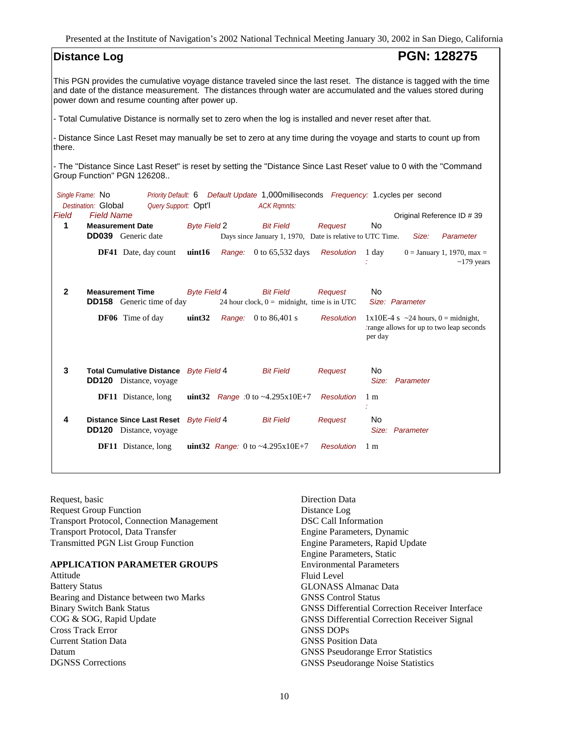| <b>Distance Log</b>                                                                                                                                                                                                                                                                      |                                                          |                                                                                                           | <b>PGN: 128275</b>                                                                           |  |  |  |
|------------------------------------------------------------------------------------------------------------------------------------------------------------------------------------------------------------------------------------------------------------------------------------------|----------------------------------------------------------|-----------------------------------------------------------------------------------------------------------|----------------------------------------------------------------------------------------------|--|--|--|
| This PGN provides the cumulative voyage distance traveled since the last reset. The distance is tagged with the time<br>and date of the distance measurement. The distances through water are accumulated and the values stored during<br>power down and resume counting after power up. |                                                          |                                                                                                           |                                                                                              |  |  |  |
| - Total Cumulative Distance is normally set to zero when the log is installed and never reset after that.                                                                                                                                                                                |                                                          |                                                                                                           |                                                                                              |  |  |  |
| - Distance Since Last Reset may manually be set to zero at any time during the voyage and starts to count up from<br>there.                                                                                                                                                              |                                                          |                                                                                                           |                                                                                              |  |  |  |
| - The "Distance Since Last Reset" is reset by setting the "Distance Since Last Reset' value to 0 with the "Command<br>Group Function" PGN 126208                                                                                                                                         |                                                          |                                                                                                           |                                                                                              |  |  |  |
| Single Frame: No<br>Destination: Global<br>Query Support: Opt'l                                                                                                                                                                                                                          |                                                          | Priority Default: 6 Default Update 1,000milliseconds Frequency: 1.cycles per second<br><b>ACK Ramnts:</b> |                                                                                              |  |  |  |
| <b>Field Name</b><br>Field<br>1<br><b>Measurement Date</b>                                                                                                                                                                                                                               | <b>Byte Field 2</b>                                      | <b>Bit Field</b><br>Request                                                                               | Original Reference ID # 39<br>No                                                             |  |  |  |
| <b>DD039</b> Generic date                                                                                                                                                                                                                                                                |                                                          | Days since January 1, 1970, Date is relative to UTC Time.                                                 | Size:<br>Parameter                                                                           |  |  |  |
| DF41 Date, day count                                                                                                                                                                                                                                                                     | uint16                                                   | Range: 0 to 65,532 days<br><b>Resolution</b>                                                              | 1 day<br>$0 =$ January 1, 1970, max =<br>$\sim$ 179 years                                    |  |  |  |
| $\mathbf{2}$<br><b>Measurement Time</b><br><b>DD158</b> Generic time of day                                                                                                                                                                                                              | <b>Byte Field 4</b>                                      | <b>Bit Field</b><br>Request<br>24 hour clock, $0 =$ midnight, time is in UTC                              | No<br>Size: Parameter                                                                        |  |  |  |
| DF06 Time of day                                                                                                                                                                                                                                                                         | uint32<br><b>Range:</b> $0 \text{ to } 86,401 \text{ s}$ | <b>Resolution</b>                                                                                         | $1x10E-4$ s ~24 hours, 0 = midnight,<br>trange allows for up to two leap seconds.<br>per day |  |  |  |
| 3<br><b>Total Cumulative Distance</b><br><b>DD120</b> Distance, voyage                                                                                                                                                                                                                   | <b>Byte Field 4</b>                                      | <b>Bit Field</b><br>Request                                                                               | No<br>Size:<br>Parameter                                                                     |  |  |  |
| <b>DF11</b> Distance, long                                                                                                                                                                                                                                                               | <b>uint32</b> Range :0 to ~4.295x10E+7                   | <b>Resolution</b>                                                                                         | 1 <sub>m</sub>                                                                               |  |  |  |
| 4<br><b>Distance Since Last Reset</b><br><b>DD120</b> Distance, voyage                                                                                                                                                                                                                   | Byte Field 4                                             | <b>Bit Field</b><br>Request                                                                               | No<br>Size: Parameter                                                                        |  |  |  |
| <b>DF11</b> Distance, long                                                                                                                                                                                                                                                               | uint32 Range: 0 to ~4.295x10E+7                          | <b>Resolution</b>                                                                                         | 1 <sub>m</sub>                                                                               |  |  |  |

Request, basic Request Group Function Transport Protocol, Connection Management Transport Protocol, Data Transfer Transmitted PGN List Group Function

## **APPLICATION PARAMETER GROUPS**

Attitude Battery Status Bearing and Distance between two Marks Binary Switch Bank Status COG & SOG, Rapid Update Cross Track Error Current Station Data Datum DGNSS Corrections

Direction Data Distance Log DSC Call Information Engine Parameters, Dynamic Engine Parameters, Rapid Update Engine Parameters, Static Environmental Parameters Fluid Level GLONASS Almanac Data GNSS Control Status GNSS Differential Correction Receiver Interface GNSS Differential Correction Receiver Signal GNSS DOPs GNSS Position Data GNSS Pseudorange Error Statistics GNSS Pseudorange Noise Statistics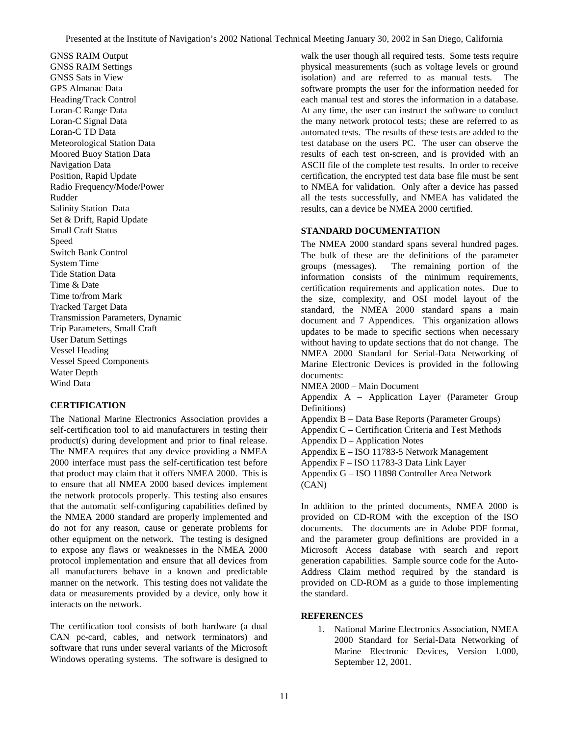GNSS RAIM Output GNSS RAIM Settings GNSS Sats in View GPS Almanac Data Heading/Track Control Loran-C Range Data Loran-C Signal Data Loran-C TD Data Meteorological Station Data Moored Buoy Station Data Navigation Data Position, Rapid Update Radio Frequency/Mode/Power Rudder Salinity Station Data Set & Drift, Rapid Update Small Craft Status Speed Switch Bank Control System Time Tide Station Data Time & Date Time to/from Mark Tracked Target Data Transmission Parameters, Dynamic Trip Parameters, Small Craft User Datum Settings Vessel Heading Vessel Speed Components Water Depth Wind Data

# **CERTIFICATION**

The National Marine Electronics Association provides a self-certification tool to aid manufacturers in testing their product(s) during development and prior to final release. The NMEA requires that any device providing a NMEA 2000 interface must pass the self-certification test before that product may claim that it offers NMEA 2000. This is to ensure that all NMEA 2000 based devices implement the network protocols properly. This testing also ensures that the automatic self-configuring capabilities defined by the NMEA 2000 standard are properly implemented and do not for any reason, cause or generate problems for other equipment on the network. The testing is designed to expose any flaws or weaknesses in the NMEA 2000 protocol implementation and ensure that all devices from all manufacturers behave in a known and predictable manner on the network. This testing does not validate the data or measurements provided by a device, only how it interacts on the network.

The certification tool consists of both hardware (a dual CAN pc-card, cables, and network terminators) and software that runs under several variants of the Microsoft Windows operating systems. The software is designed to

walk the user though all required tests. Some tests require physical measurements (such as voltage levels or ground isolation) and are referred to as manual tests. The software prompts the user for the information needed for each manual test and stores the information in a database. At any time, the user can instruct the software to conduct the many network protocol tests; these are referred to as automated tests. The results of these tests are added to the test database on the users PC. The user can observe the results of each test on-screen, and is provided with an ASCII file of the complete test results. In order to receive certification, the encrypted test data base file must be sent to NMEA for validation. Only after a device has passed all the tests successfully, and NMEA has validated the results, can a device be NMEA 2000 certified.

## **STANDARD DOCUMENTATION**

The NMEA 2000 standard spans several hundred pages. The bulk of these are the definitions of the parameter groups (messages). The remaining portion of the information consists of the minimum requirements, certification requirements and application notes. Due to the size, complexity, and OSI model layout of the standard, the NMEA 2000 standard spans a main document and 7 Appendices. This organization allows updates to be made to specific sections when necessary without having to update sections that do not change. The NMEA 2000 Standard for Serial-Data Networking of Marine Electronic Devices is provided in the following documents:

NMEA 2000 – Main Document

Appendix A – Application Layer (Parameter Group Definitions)

Appendix B – Data Base Reports (Parameter Groups)

Appendix C – Certification Criteria and Test Methods

Appendix D – Application Notes

Appendix E – ISO 11783-5 Network Management

Appendix F – ISO 11783-3 Data Link Layer

Appendix G – ISO 11898 Controller Area Network (CAN)

In addition to the printed documents, NMEA 2000 is provided on CD-ROM with the exception of the ISO documents. The documents are in Adobe PDF format, and the parameter group definitions are provided in a Microsoft Access database with search and report generation capabilities. Sample source code for the Auto-Address Claim method required by the standard is provided on CD-ROM as a guide to those implementing the standard.

## **REFERENCES**

1. National Marine Electronics Association, NMEA 2000 Standard for Serial-Data Networking of Marine Electronic Devices, Version 1.000, September 12, 2001.